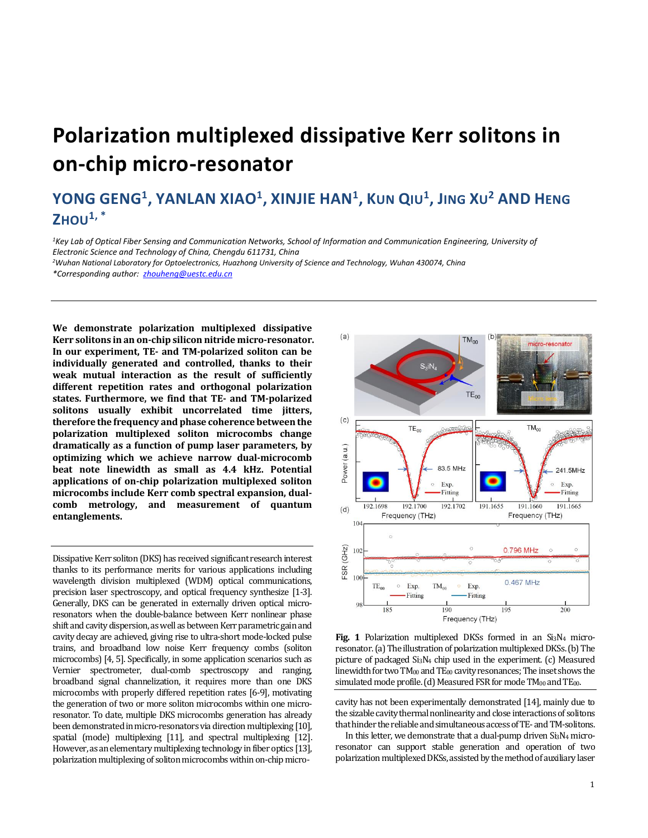## **Polarization multiplexed dissipative Kerr solitons in on-chip micro-resonator**

## YONG GENG<sup>1</sup>, YANLAN XIAO<sup>1</sup>, XINJIE HAN<sup>1</sup>, KUN QIU<sup>1</sup>, JING XU<sup>2</sup> AND HENG **ZHOU1, \***

*<sup>1</sup>Key Lab of Optical Fiber Sensing and Communication Networks, School of Information and Communication Engineering, University of Electronic Science and Technology of China, Chengdu 611731, China* 

*<sup>2</sup>Wuhan National Laboratory for Optoelectronics, Huazhong University of Science and Technology, Wuhan 430074, China*

*\*Corresponding author: [zhouheng@uestc.edu.cn](mailto:zhouheng@uestc.edu.cn)*

**We demonstrate polarization multiplexed dissipative Kerr solitons in an on-chip silicon nitride micro-resonator. In our experiment, TE- and TM-polarized soliton can be individually generated and controlled, thanks to their weak mutual interaction as the result of sufficiently different repetition rates and orthogonal polarization states. Furthermore, we find that TE- and TM-polarized solitons usually exhibit uncorrelated time jitters, therefore the frequency and phase coherence between the polarization multiplexed soliton microcombs change dramatically as a function of pump laser parameters, by optimizing which we achieve narrow dual-microcomb beat note linewidth as small as 4.4 kHz. Potential applications of on-chip polarization multiplexed soliton microcombs include Kerr comb spectral expansion, dualcomb metrology, and measurement of quantum entanglements.** 

Dissipative Kerr soliton (DKS) has received significant research interest thanks to its performance merits for various applications including wavelength division multiplexed (WDM) optical communications, precision laser spectroscopy, and optical frequency synthesize [1-3]. Generally, DKS can be generated in externally driven optical microresonators when the double-balance between Kerr nonlinear phase shift and cavity dispersion, as well as between Kerr parametric gain and cavity decay are achieved, giving rise to ultra-short mode-locked pulse trains, and broadband low noise Kerr frequency combs (soliton microcombs) [4, 5]. Specifically, in some application scenarios such as Vernier spectrometer, dual-comb spectroscopy and ranging, broadband signal channelization, it requires more than one DKS microcombs with properly differed repetition rates [6-9], motivating the generation of two or more soliton microcombs within one microresonator. To date, multiple DKS microcombs generation has already been demonstrated in micro-resonators via direction multiplexing [10], spatial (mode) multiplexing [11], and spectral multiplexing [12]. However, as an elementary multiplexing technology in fiber optics [13], polarization multiplexing of soliton microcombs within on-chip micro-



**Fig. 1** Polarization multiplexed DKSs formed in an Si<sub>3</sub>N<sub>4</sub> microresonator. (a) The illustration of polarization multiplexed DKSs. (b) The picture of packaged Si3N<sup>4</sup> chip used in the experiment. (c) Measured linewidth for twoTM<sup>00</sup> and TE<sup>00</sup> cavity resonances; The inset shows the simulated mode profile. (d) Measured FSR for mode  $TM_{00}$  and  $TE_{00}$ .

cavity has not been experimentally demonstrated [14], mainly due to the sizable cavity thermal nonlinearity and close interactions of solitons that hinder the reliable and simultaneous access of TE- and TM-solitons.

In this letter, we demonstrate that a dual-pump driven Si3N<sup>4</sup> microresonator can support stable generation and operation of two polarization multiplexed DKSs, assisted by the method of auxiliary laser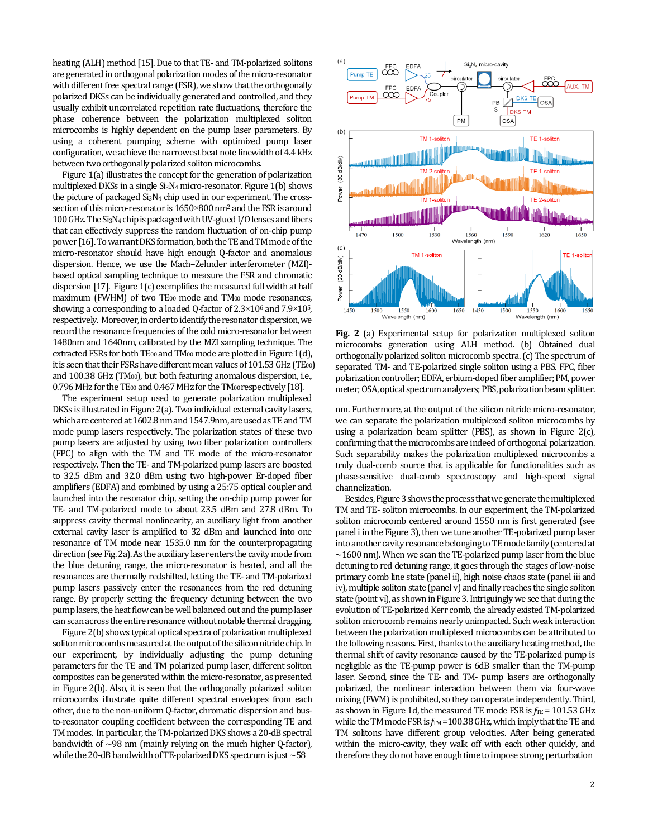heating (ALH) method [15]. Due to that TE- and TM-polarized solitons are generated in orthogonal polarization modes of the micro-resonator with different free spectral range (FSR), we show that the orthogonally polarized DKSs can be individually generated and controlled, and they usually exhibit uncorrelated repetition rate fluctuations, therefore the phase coherence between the polarization multiplexed soliton microcombs is highly dependent on the pump laser parameters. By using a coherent pumping scheme with optimized pump laser configuration, we achieve the narrowest beat note linewidth of 4.4 kHz between two orthogonally polarized soliton microcombs.

Figure 1(a) illustrates the concept for the generation of polarization multiplexed DKSs in a single Si3N<sup>4</sup> micro-resonator. Figure 1(b) shows the picture of packaged Si3N<sup>4</sup> chip used in our experiment. The crosssection of this micro-resonator is 1650×800 nm<sup>2</sup> and the FSR is around 100 GHz. The Si3N<sup>4</sup> chip is packaged with UV-glued I/Olenses and fibers that can effectively suppress the random fluctuation of on-chip pump power[16]. To warrantDKS formation, both the TE and TM mode of the micro-resonator should have high enough Q-factor and anomalous dispersion. Hence, we use the Mach–Zehnder interferometer (MZI) based optical sampling technique to measure the FSR and chromatic dispersion [17]. Figure 1(c) exemplifies the measured full width at half maximum (FWHM) of two TE<sub>00</sub> mode and TM<sub>00</sub> mode resonances, showing a corresponding to a loaded Q-factor of  $2.3 \times 10^6$  and  $7.9 \times 10^5$ , respectively. Moreover, inorder to identify the resonator dispersion, we record the resonance frequencies of the cold micro-resonator between 1480nm and 1640nm, calibrated by the MZI sampling technique. The extracted FSRs for both  $TE_{00}$  and  $TM_{00}$  mode are plotted in Figure 1(d), it is seen that their FSRs have different mean values of  $101.53$  GHz (TE<sub>00</sub>) and 100.38 GHz (TM<sub>00</sub>), but both featuring anomalous dispersion, i.e., 0.796 MHz for the TE<sub>00</sub> and 0.467 MHz for the TM<sub>00</sub> respectively [18].

The experiment setup used to generate polarization multiplexed DKSs is illustrated in Figure 2(a). Two individual external cavity lasers, which are centered at 1602.8 nm and 1547.9nm, are used as TE and TM mode pump lasers respectively. The polarization states of these two pump lasers are adjusted by using two fiber polarization controllers (FPC) to align with the TM and TE mode of the micro-resonator respectively. Then the TE- and TM-polarized pump lasers are boosted to 32.5 dBm and 32.0 dBm using two high-power Er-doped fiber amplifiers (EDFA) and combined by using a 25:75 optical coupler and launched into the resonator chip, setting the on-chip pump power for TE- and TM-polarized mode to about 23.5 dBm and 27.8 dBm. To suppress cavity thermal nonlinearity, an auxiliary light from another external cavity laser is amplified to 32 dBm and launched into one resonance of TM mode near 1535.0 nm for the counterpropagating direction (see Fig. 2a). As the auxiliary laser enters the cavity mode from the blue detuning range, the micro-resonator is heated, and all the resonances are thermally redshifted, letting the TE- and TM-polarized pump lasers passively enter the resonances from the red detuning range. By properly setting the frequency detuning between the two pump lasers, the heat flow can be well balanced out and the pump laser can scan across the entire resonance without notable thermal dragging.

Figure 2(b) shows typical optical spectra of polarization multiplexed soliton microcombs measured at the output of the silicon nitride chip. In our experiment, by individually adjusting the pump detuning parameters for the TE and TM polarized pump laser, different soliton composites can be generated within the micro-resonator, as presented in Figure 2(b). Also, it is seen that the orthogonally polarized soliton microcombs illustrate quite different spectral envelopes from each other, due to the non-uniform Q-factor, chromatic dispersion and busto-resonator coupling coefficient between the corresponding TE and TM modes. In particular, the TM-polarized DKS shows a 20-dB spectral bandwidth of ~98 nm (mainly relying on the much higher Q-factor), while the 20-dB bandwidth of TE-polarized DKS spectrum is just ~58



**Fig. 2** (a) Experimental setup for polarization multiplexed soliton microcombs generation using ALH method. (b) Obtained dual orthogonally polarized soliton microcomb spectra. (c) The spectrum of separated TM- and TE-polarized single soliton using a PBS. FPC, fiber polarization controller; EDFA, erbium-doped fiber amplifier; PM, power meter; OSA, optical spectrum analyzers; PBS, polarization beam splitter.

nm. Furthermore, at the output of the silicon nitride micro-resonator, we can separate the polarization multiplexed soliton microcombs by using a polarization beam splitter (PBS), as shown in Figure 2(c), confirming that the microcombs are indeed of orthogonal polarization. Such separability makes the polarization multiplexed microcombs a truly dual-comb source that is applicable for functionalities such as phase-sensitive dual-comb spectroscopy and high-speed signal channelization.

Besides, Figure 3 shows the process that we generate the multiplexed TM and TE- soliton microcombs. In our experiment, the TM-polarized soliton microcomb centered around 1550 nm is first generated (see panel i in the Figure 3), then we tune another TE-polarized pump laser into another cavity resonance belonging to TE mode family (centered at  $\sim$ 1600 nm). When we scan the TE-polarized pump laser from the blue detuning to red detuning range, it goes through the stages of low-noise primary comb line state (panel ii), high noise chaos state (panel iii and iv), multiple soliton state (panel v) and finally reaches the single soliton state (point vi), as shown in Figure 3. Intriguingly we see that during the evolution of TE-polarized Kerr comb, the already existed TM-polarized soliton microcomb remains nearly unimpacted. Such weak interaction between the polarization multiplexed microcombs can be attributed to the following reasons. First, thanks to the auxiliary heating method, the thermal shift of cavity resonance caused by the TE-polarized pump is negligible as the TE-pump power is 6dB smaller than the TM-pump laser. Second, since the TE- and TM- pump lasers are orthogonally polarized, the nonlinear interaction between them via four-wave mixing (FWM) is prohibited, so they can operate independently. Third, as shown in Figure 1d, the measured TE mode FSR is  $f_{\text{TE}}$  = 101.53 GHz while the TM mode FSR is  $f_{TM}$  = 100.38 GHz, which imply that the TE and TM solitons have different group velocities. After being generated within the micro-cavity, they walk off with each other quickly, and therefore they do not have enough time to impose strong perturbation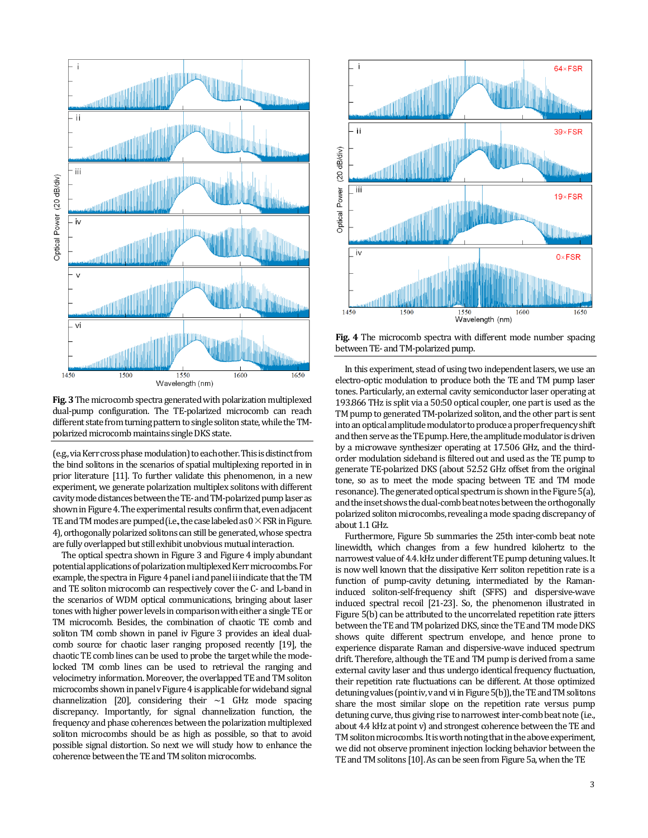

**Fig. 3**The microcomb spectra generated with polarization multiplexed dual-pump configuration. The TE-polarized microcomb can reach different state from turning pattern to single soliton state, while the TMpolarized microcomb maintains single DKS state.

(e.g.,viaKerr cross phase modulation) to each other. This is distinct from the bind solitons in the scenarios of spatial multiplexing reported in in prior literature [11]. To further validate this phenomenon, in a new experiment, we generate polarization multiplex solitons with different cavity mode distancesbetween theTE-and TM-polarized pump laseras shown in Figure 4. The experimental results confirm that, even adjacent TE and TM modes are pumped (i.e., the case labeled as  $0 \times FSR$  in Figure. 4),orthogonally polarized solitons can still be generated, whose spectra are fully overlapped but still exhibit unobvious mutual interaction.

The optical spectra shown in Figure 3 and Figure 4 imply abundant potential applications of polarization multiplexed Kerr microcombs.For example, the spectra in Figure 4 panel i and panel ii indicate that the TM and TE soliton microcomb can respectively cover the C- and L-band in the scenarios of WDM optical communications, bringing about laser tones with higher power levels in comparison with either a single TE or TM microcomb. Besides, the combination of chaotic TE comb and soliton TM comb shown in panel iv Figure 3 provides an ideal dualcomb source for chaotic laser ranging proposed recently [19], the chaotic TE comb lines can be used to probe the target while the modelocked TM comb lines can be used to retrieval the ranging and velocimetry information. Moreover, the overlapped TE and TM soliton microcombs shown in panel v Figure 4 is applicable for wideband signal channelization [20], considering their  $\sim$ 1 GHz mode spacing discrepancy. Importantly, for signal channelization function, the frequency and phase coherences between the polarization multiplexed soliton microcombs should be as high as possible, so that to avoid possible signal distortion. So next we will study how to enhance the coherence between the TE and TM soliton microcombs.



**Fig. 4** The microcomb spectra with different mode number spacing between TE-and TM-polarized pump.

In this experiment, stead of using two independent lasers, we use an electro-optic modulation to produce both the TE and TM pump laser tones. Particularly, an external cavity semiconductor laser operating at 193.866 THz is split via a 50:50 optical coupler, one partis used as the TM pump to generated TM-polarized soliton, and the other part is sent into an optical amplitude modulator to produce a proper frequency shift and then serve as the TE pump. Here, the amplitude modulator is driven by a microwave synthesizer operating at 17.506 GHz, and the thirdorder modulation sideband is filtered out and used as the TE pump to generate TE-polarized DKS (about 52.52 GHz offset from the original tone, so as to meet the mode spacing between TE and TM mode resonance).The generated optical spectrum is shown in the Figure 5(a), and the insetshows the dual-comb beat notes between the orthogonally polarized soliton microcombs, revealing a mode spacing discrepancy of about 1.1GHz.

Furthermore, Figure 5b summaries the 25th inter-comb beat note linewidth, which changes from a few hundred kilohertz to the narrowest value of 4.4. kHz under different TE pump detuning values. It is now well known that the dissipative Kerr soliton repetition rate is a function of pump-cavity detuning, intermediated by the Ramaninduced soliton-self-frequency shift (SFFS) and dispersive-wave induced spectral recoil [21-23]. So, the phenomenon illustrated in Figure 5(b) can be attributed to the uncorrelated repetition rate jitters between the TE and TM polarized DKS, since the TE and TM mode DKS shows quite different spectrum envelope, and hence prone to experience disparate Raman and dispersive-wave induced spectrum drift. Therefore, although the TE and TM pump is derived from a same external cavity laser and thus undergo identical frequency fluctuation, their repetition rate fluctuations can be different. At those optimized detuning values (point iv, v and vi in Figure 5(b)), the TE and TM solitons share the most similar slope on the repetition rate versus pump detuning curve, thus giving rise to narrowest inter-comb beat note (i.e., about 4.4 kHz at point v) and strongest coherence between the TE and TM soliton microcombs. It is worth noting that in the above experiment, we did not observe prominent injection locking behavior between the TE and TM solitons [10]. As can be seenfrom Figure 5a, when the TE